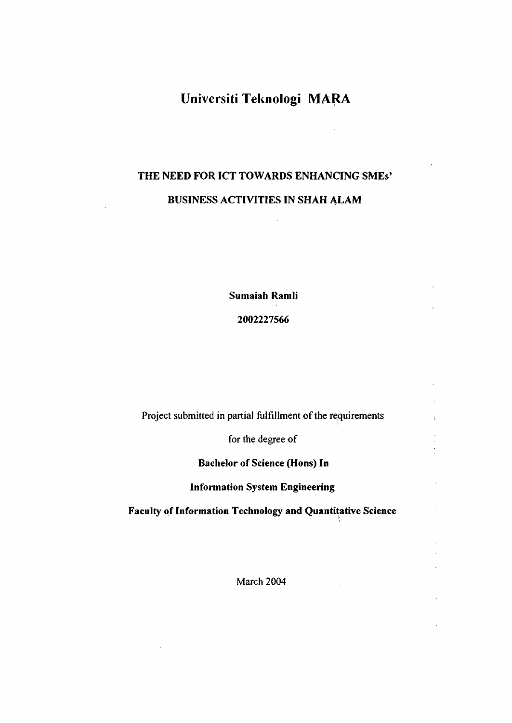## **Universiti Teknologi MARA**

# **THE NEED FOR ICT TOWARDS ENHANCING SMEs' BUSINESS ACTIVITIES IN SHAH ALAM**

**Sumaiah Ramli** 

**2002227566** 

Project submitted in partial fulfillment of the requirements

for the degree of

**Bachelor of Science (Hons) In** 

**Information System Engineering** 

 $\frac{1}{2}$ 

 $\bar{z}$ 

**Faculty of Information Technology and Quantitative Science** 

March 2004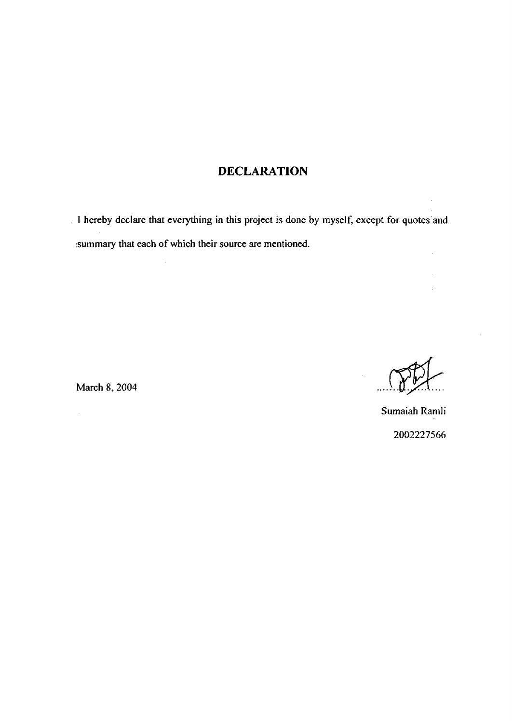### DECLARATION

I hereby declare that everything in this project is done by myself, except for quotes and :summary that each of which their source are mentioned.

March 8, 2004 *,...).,[J,^X... .* 

 $\hat{\mathcal{A}}$ 

Sumaiah Ramli 2002227566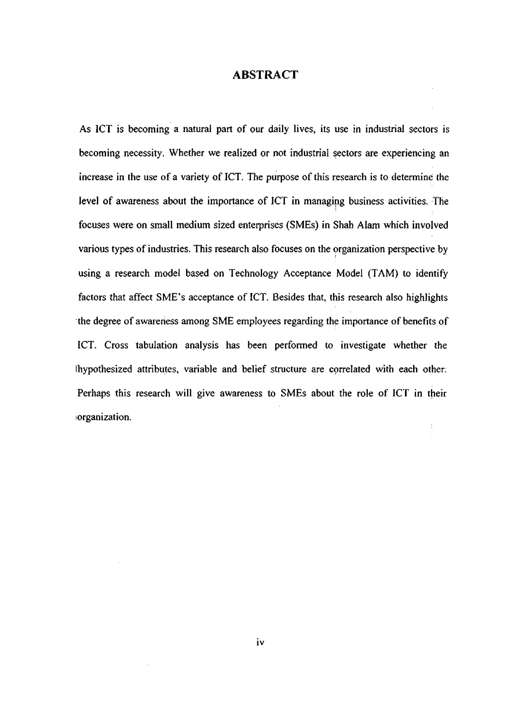#### ABSTRACT

As ICT is becoming a natural part of our daily lives, its use in industrial sectors is becoming necessity. Whether we realized or not industrial sectors are experiencing an increase in the use of a variety of ICT. The purpose of this research is to determine the level of awareness about the importance of ICT in managing business activities. The focuses were on small medium sized enterprises (SMEs) in Shah Alam which involved various types of industries. This research also focuses on the organization perspective by using a research model based on Technology Acceptance Model (TAM) to identify factors that affect SME's acceptance of ICT. Besides that, this research also highlights the degree of awareness among SME employees regarding the importance of benefits of ICT. Cross tabulation analysis has been performed to investigate whether the Ihypothesized attributes, variable and belief structure are correlated with each other; Perhaps this research will give awareness to SMEs about the role of ICT in their lorganization.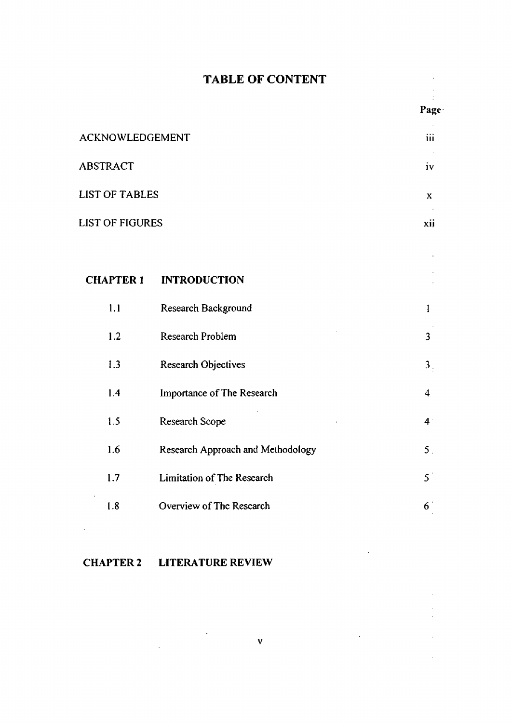## **TABLE OF CONTENT**

Page-

 $\mathcal{L}_{\rm{max}}$ 

 $\bar{z}$  $\bar{\mathcal{A}}$  $\hat{\mathcal{L}}$ 

 $\ddot{\phantom{a}}$ 

 $\ddot{\phantom{a}}$ 

 $\pm$ 

| ACKNOWLEDGEMENT        | <br>111 |
|------------------------|---------|
| ABSTRACT               | 1V      |
| <b>LIST OF TABLES</b>  | x       |
| <b>LIST OF FIGURES</b> | xii     |
|                        |         |

| <b>CHAPTER 1</b> | <b>INTRODUCTION</b>               |                         |
|------------------|-----------------------------------|-------------------------|
| 1.1              | Research Background               | 1                       |
| 1.2              | Research Problem                  | $\overline{\mathbf{3}}$ |
| 1.3              | <b>Research Objectives</b>        | 3 <sub>1</sub>          |
| 1.4              | <b>Importance of The Research</b> | $\overline{4}$          |
| 1.5              | Research Scope                    | 4 <sup>1</sup>          |
| 1.6              | Research Approach and Methodology | 5 <sub>1</sub>          |
| 1.7              | Limitation of The Research        | $5^{\circ}$             |
| 1.8              | Overview of The Research          | 6 <sup>1</sup>          |

## **CHAPTER 2 LITERATURE REVIEW**

 $\sim 10^{-1}$ 

 $\label{eq:2.1} \frac{1}{\sqrt{2}}\left(\frac{1}{\sqrt{2}}\right)^{2} \left(\frac{1}{\sqrt{2}}\right)^{2} \left(\frac{1}{\sqrt{2}}\right)^{2} \left(\frac{1}{\sqrt{2}}\right)^{2} \left(\frac{1}{\sqrt{2}}\right)^{2} \left(\frac{1}{\sqrt{2}}\right)^{2} \left(\frac{1}{\sqrt{2}}\right)^{2} \left(\frac{1}{\sqrt{2}}\right)^{2} \left(\frac{1}{\sqrt{2}}\right)^{2} \left(\frac{1}{\sqrt{2}}\right)^{2} \left(\frac{1}{\sqrt{2}}\right)^{2} \left(\$ 

 $\mathcal{L}^{(1)}$ 

 $\mathcal{L}_{\rm{in}}$ 

 $\sim$ 

**v**